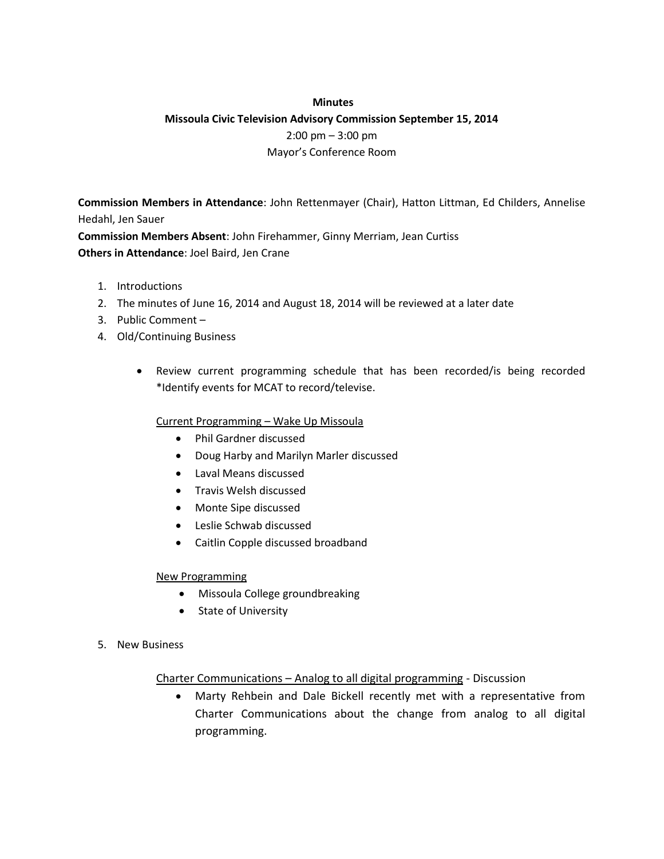### **Minutes**

# **Missoula Civic Television Advisory Commission September 15, 2014**  2:00 pm – 3:00 pm Mayor's Conference Room

**Commission Members in Attendance**: John Rettenmayer (Chair), Hatton Littman, Ed Childers, Annelise Hedahl, Jen Sauer

**Commission Members Absent**: John Firehammer, Ginny Merriam, Jean Curtiss **Others in Attendance**: Joel Baird, Jen Crane

- 1. Introductions
- 2. The minutes of June 16, 2014 and August 18, 2014 will be reviewed at a later date
- 3. Public Comment –
- 4. Old/Continuing Business
	- Review current programming schedule that has been recorded/is being recorded \*Identify events for MCAT to record/televise.

### Current Programming – Wake Up Missoula

- Phil Gardner discussed
- Doug Harby and Marilyn Marler discussed
- Laval Means discussed
- Travis Welsh discussed
- Monte Sipe discussed
- Leslie Schwab discussed
- Caitlin Copple discussed broadband

### New Programming

- Missoula College groundbreaking
- State of University
- 5. New Business

### Charter Communications – Analog to all digital programming - Discussion

 Marty Rehbein and Dale Bickell recently met with a representative from Charter Communications about the change from analog to all digital programming.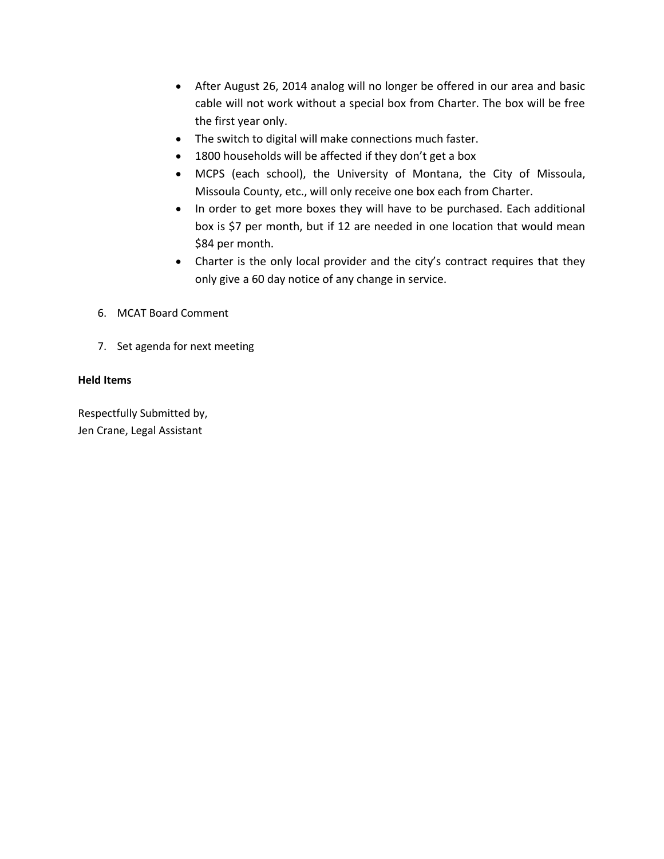- After August 26, 2014 analog will no longer be offered in our area and basic cable will not work without a special box from Charter. The box will be free the first year only.
- The switch to digital will make connections much faster.
- 1800 households will be affected if they don't get a box
- MCPS (each school), the University of Montana, the City of Missoula, Missoula County, etc., will only receive one box each from Charter.
- In order to get more boxes they will have to be purchased. Each additional box is \$7 per month, but if 12 are needed in one location that would mean \$84 per month.
- Charter is the only local provider and the city's contract requires that they only give a 60 day notice of any change in service.
- 6. MCAT Board Comment
- 7. Set agenda for next meeting

## **Held Items**

Respectfully Submitted by, Jen Crane, Legal Assistant